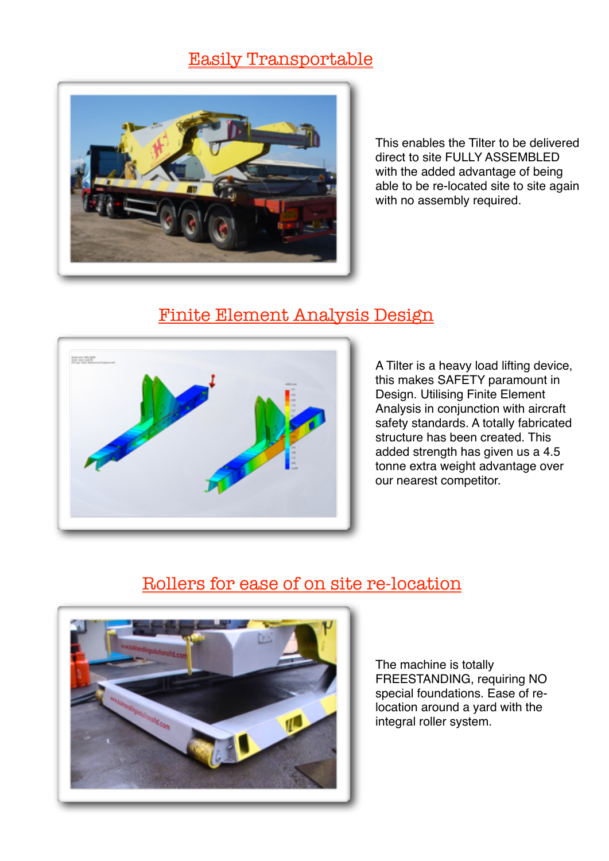### Easily Transportable



This enables the Tilter to be delivered direct to site FULLY ASSEMBLED with the added advantage of being able to be re-located site to site again with no assembly required.

#### Finite Element Analysis Design



A Tilter is a heavy load lifting device, this makes SAFETY paramount in Design. Utilising Finite Element Analysis in conjunction with aircraft safety standards. A totally fabricated structure has been created. This added strength has given us a 4.5 tonne extra weight advantage over our nearest competitor.

### Rollers for ease of on site re-location



The machine is totally FREESTANDING, requiring NO special foundations. Ease of relocation around a yard with the integral roller system.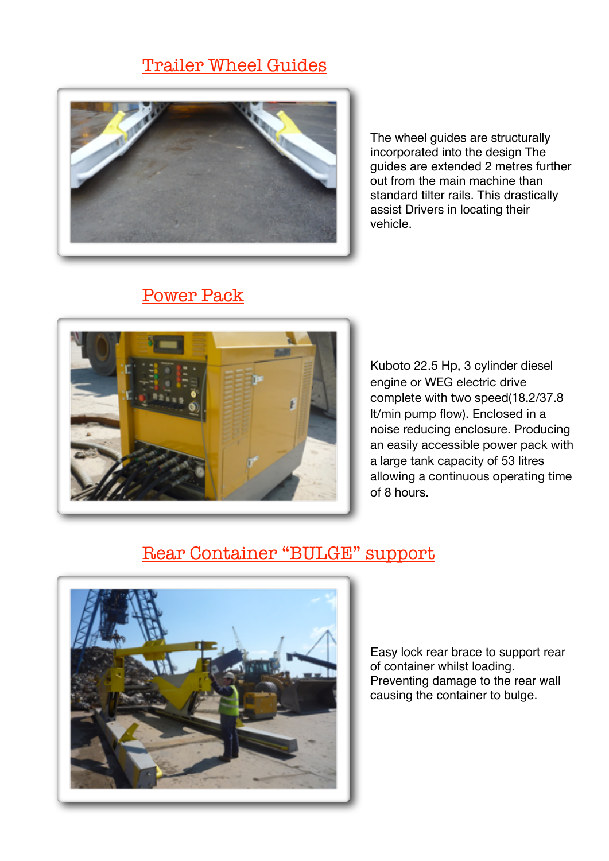# Trailer Wheel Guides



The wheel guides are structurally incorporated into the design The guides are extended 2 metres further out from the main machine than standard tilter rails. This drastically assist Drivers in locating their vehicle.

# Power Pack



Kuboto 22.5 Hp, 3 cylinder diesel engine or WEG electric drive complete with two speed(18.2/37.8 lt/min pump flow). Enclosed in a noise reducing enclosure. Producing an easily accessible power pack with a large tank capacity of 53 litres allowing a continuous operating time of 8 hours.

### Rear Container "BULGE" support



Easy lock rear brace to support rear of container whilst loading. Preventing damage to the rear wall causing the container to bulge.